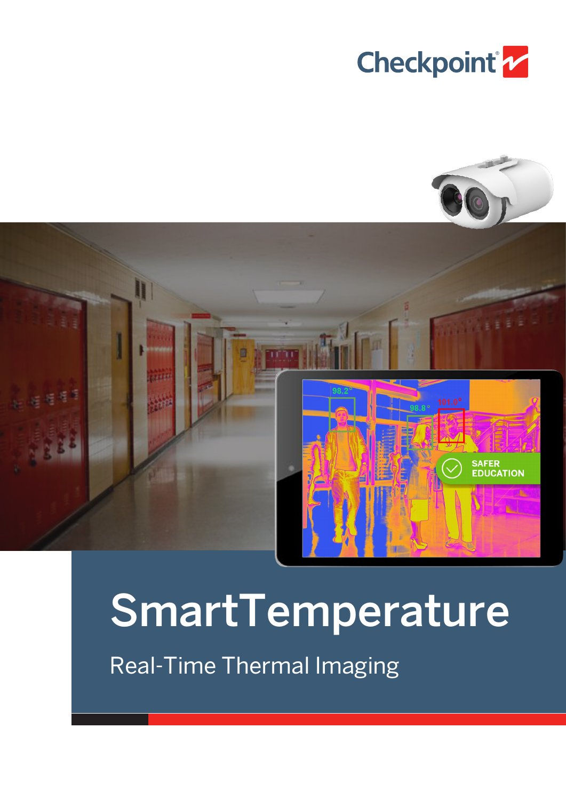





## SmartTemperature

Real-Time Thermal Imaging